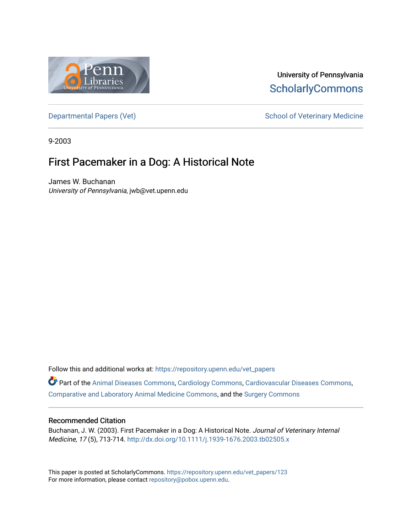

## University of Pennsylvania **ScholarlyCommons**

[Departmental Papers \(Vet\)](https://repository.upenn.edu/vet_papers) and School of Veterinary Medicine

9-2003

# First Pacemaker in a Dog: A Historical Note

James W. Buchanan University of Pennsylvania, jwb@vet.upenn.edu

Follow this and additional works at: [https://repository.upenn.edu/vet\\_papers](https://repository.upenn.edu/vet_papers?utm_source=repository.upenn.edu%2Fvet_papers%2F123&utm_medium=PDF&utm_campaign=PDFCoverPages) 

Part of the [Animal Diseases Commons,](http://network.bepress.com/hgg/discipline/918?utm_source=repository.upenn.edu%2Fvet_papers%2F123&utm_medium=PDF&utm_campaign=PDFCoverPages) [Cardiology Commons](http://network.bepress.com/hgg/discipline/683?utm_source=repository.upenn.edu%2Fvet_papers%2F123&utm_medium=PDF&utm_campaign=PDFCoverPages), [Cardiovascular Diseases Commons,](http://network.bepress.com/hgg/discipline/929?utm_source=repository.upenn.edu%2Fvet_papers%2F123&utm_medium=PDF&utm_campaign=PDFCoverPages) [Comparative and Laboratory Animal Medicine Commons](http://network.bepress.com/hgg/discipline/768?utm_source=repository.upenn.edu%2Fvet_papers%2F123&utm_medium=PDF&utm_campaign=PDFCoverPages), and the [Surgery Commons](http://network.bepress.com/hgg/discipline/706?utm_source=repository.upenn.edu%2Fvet_papers%2F123&utm_medium=PDF&utm_campaign=PDFCoverPages) 

#### Recommended Citation

Buchanan, J. W. (2003). First Pacemaker in a Dog: A Historical Note. Journal of Veterinary Internal Medicine, 17 (5), 713-714.<http://dx.doi.org/10.1111/j.1939-1676.2003.tb02505.x>

This paper is posted at ScholarlyCommons. [https://repository.upenn.edu/vet\\_papers/123](https://repository.upenn.edu/vet_papers/123) For more information, please contact [repository@pobox.upenn.edu.](mailto:repository@pobox.upenn.edu)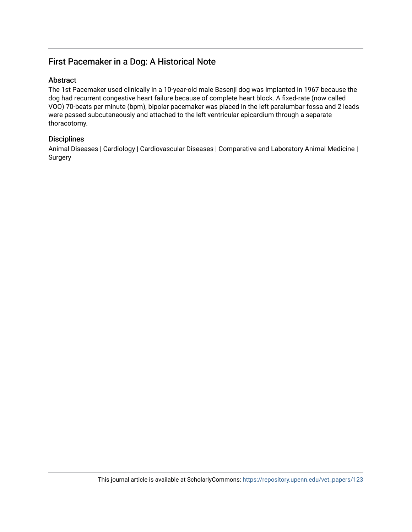## First Pacemaker in a Dog: A Historical Note

#### Abstract

The 1st Pacemaker used clinically in a 10-year-old male Basenji dog was implanted in 1967 because the dog had recurrent congestive heart failure because of complete heart block. A fixed-rate (now called VOO) 70-beats per minute (bpm), bipolar pacemaker was placed in the left paralumbar fossa and 2 leads were passed subcutaneously and attached to the left ventricular epicardium through a separate thoracotomy.

### **Disciplines**

Animal Diseases | Cardiology | Cardiovascular Diseases | Comparative and Laboratory Animal Medicine | Surgery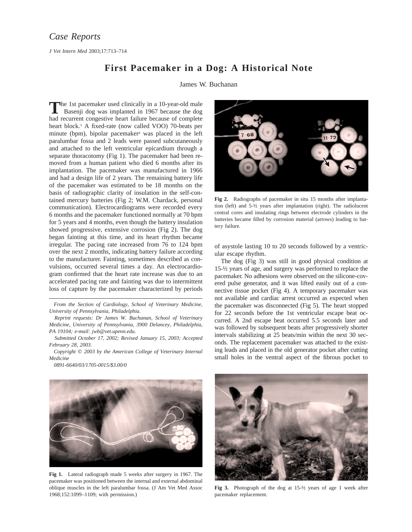*J Vet Intern Med* 2003;17:713–714

### **First Pacemaker in a Dog: A Historical Note**

James W. Buchanan

The 1st pacemaker used clinically in a 10-year-old male<br>Basenji dog was implanted in 1967 because the dog had recurrent congestive heart failure because of complete heart block.<sup>1</sup> A fixed-rate (now called VOO) 70-beats per minute (bpm), bipolar pacemakera was placed in the left paralumbar fossa and 2 leads were passed subcutaneously and attached to the left ventricular epicardium through a separate thoracotomy (Fig 1). The pacemaker had been removed from a human patient who died 6 months after its implantation. The pacemaker was manufactured in 1966 and had a design life of 2 years. The remaining battery life of the pacemaker was estimated to be 18 months on the basis of radiographic clarity of insulation in the self-contained mercury batteries (Fig 2; W.M. Chardack, personal communication). Electrocardiograms were recorded every 6 months and the pacemaker functioned normally at 70 bpm for 5 years and 4 months, even though the battery insulation showed progressive, extensive corrosion (Fig 2). The dog began fainting at this time, and its heart rhythm became irregular. The pacing rate increased from 76 to 124 bpm over the next 2 months, indicating battery failure according to the manufacturer. Fainting, sometimes described as convulsions, occurred several times a day. An electrocardiogram confirmed that the heart rate increase was due to an accelerated pacing rate and fainting was due to intermittent loss of capture by the pacemaker characterized by periods

*From the Section of Cardiology, School of Veterinary Medicine, University of Pennsylvania, Philadelphia.*

*Reprint requests: Dr James W. Buchanan, School of Veterinary Medicine, University of Pennsylvania, 3900 Delancey, Philadelphia, PA 19104; e-mail: jwb@vet.upenn.edu.*

*Submitted October 17, 2002; Revised January 15, 2003; Accepted February 28, 2003.*

*Copyright*  $\odot$  *2003 by the American College of Veterinary Internal Medicine*

*0891-6640/03/1705-0015/\$3.00/0*



**Fig 2.** Radiographs of pacemaker in situ 15 months after implantation (left) and 5-½ years after implantation (right). The radiolucent central cores and insulating rings between electrode cylinders in the batteries became filled by corrosion material (arrows) leading to battery failure.

of asystole lasting 10 to 20 seconds followed by a ventricular escape rhythm.

The dog (Fig 3) was still in good physical condition at 15-½ years of age, and surgery was performed to replace the pacemaker. No adhesions were observed on the silicone-covered pulse generator, and it was lifted easily out of a connective tissue pocket (Fig 4). A temporary pacemaker was not available and cardiac arrest occurred as expected when the pacemaker was disconnected (Fig 5). The heart stopped for 22 seconds before the 1st ventricular escape beat occurred. A 2nd escape beat occurred 5.5 seconds later and was followed by subsequent beats after progressively shorter intervals stabilizing at 25 beats/min within the next 30 seconds. The replacement pacemaker was attached to the existing leads and placed in the old generator pocket after cutting small holes in the ventral aspect of the fibrous pocket to



**Fig 1.** Lateral radiograph made 5 weeks after surgery in 1967. The pacemaker was positioned between the internal and external abdominal oblique muscles in the left paralumbar fossa. (J Am Vet Med Assoc 1968;152:1099–1109; with permission.)



**Fig 3.** Photograph of the dog at 15-½ years of age 1 week after pacemaker replacement.